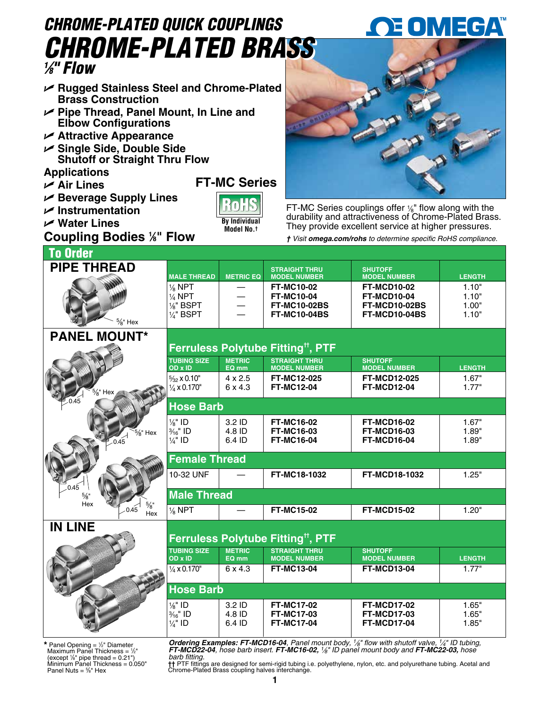## *CHROME-PLATED QUICK COUPLINGS CHROME-PLATED QUICK COUPLINGS CHROME-PLATED BRASS CHROME-PLATED BRASS <sup>1</sup>⁄8" Flow*

 **FT-MC Series**

**By Individual Model No.†**

**RoHS** 

- U **Rugged Stainless Steel and Chrome-Plated Brass Construction**
- U **Pipe Thread, Panel Mount, In Line and Elbow Configurations**
- U **Attractive Appearance**
- U **Single Side, Double Side Shutoff or Straight Thru Flow**

### **Applications**

- U **Air Lines**
- U **Beverage Supply Lines**
- U **Instrumentation**
- U **Water Lines**

### **Coupling Bodies 1 ⁄8" Flow**

# **E OMEGA**



FT-MC Series couplings offer  $\frac{1}{8}$ " flow along with the durability and attractiveness of Chrome-Plated Brass. They provide excellent service at higher pressures.

*† Visit omega.com/rohs to determine specific RoHS compliance.*

| <b>To Order</b>             |                                                                                |                            |                                                                                      |                                                                            |                                  |  |  |  |
|-----------------------------|--------------------------------------------------------------------------------|----------------------------|--------------------------------------------------------------------------------------|----------------------------------------------------------------------------|----------------------------------|--|--|--|
| <b>PIPE THREAD</b>          | <b>MALE THREAD</b>                                                             | <b>METRIC EQ</b>           | <b>STRAIGHT THRU</b><br><b>MODEL NUMBER</b>                                          | <b>SHUTOFF</b><br><b>MODEL NUMBER</b>                                      | <b>LENGTH</b>                    |  |  |  |
| $\frac{5}{8}$ " Hex         | $\frac{1}{8}$ NPT<br>$1/4$ NPT<br>$\frac{1}{8}$ " BSPT<br>$\frac{1}{4}$ " BSPT |                            | <b>FT-MC10-02</b><br><b>FT-MC10-04</b><br><b>FT-MC10-02BS</b><br><b>FT-MC10-04BS</b> | <b>FT-MCD10-02</b><br><b>FT-MCD10-04</b><br>FT-MCD10-02BS<br>FT-MCD10-04BS | 1.10"<br>1.10"<br>1.00"<br>1.10" |  |  |  |
| <b>PANEL MOUNT*</b>         | Ferruless Polytube Fitting <sup>tt</sup> , PTF                                 |                            |                                                                                      |                                                                            |                                  |  |  |  |
|                             | <b>TUBING SIZE</b><br>OD x ID                                                  | <b>METRIC</b><br>EQ mm     | <b>STRAIGHT THRU</b><br><b>MODEL NUMBER</b>                                          | <b>SHUTOFF</b><br><b>MODEL NUMBER</b>                                      | <b>LENGTH</b>                    |  |  |  |
|                             | $\frac{5}{32}$ x 0.10"<br>$\frac{1}{4}$ x 0.170"                               | $4 \times 2.5$<br>6 x 4.3  | FT-MC12-025<br><b>FT-MC12-04</b>                                                     | <b>FT-MCD12-025</b><br><b>FT-MCD12-04</b>                                  | 1.67"<br>1.77"                   |  |  |  |
| 0.45                        | <b>Hose Barb</b>                                                               |                            |                                                                                      |                                                                            |                                  |  |  |  |
| $\frac{5}{8}$ " Hex<br>.045 | $\frac{1}{8}$ " ID<br>$\frac{3}{16}$ " ID<br>$\frac{1}{4}$ " ID                | 3.2 ID<br>4.8 ID<br>6.4 ID | <b>FT-MC16-02</b><br><b>FT-MC16-03</b><br><b>FT-MC16-04</b>                          | <b>FT-MCD16-02</b><br><b>FT-MCD16-03</b><br><b>FT-MCD16-04</b>             | 1.67"<br>1.89"<br>1.89"          |  |  |  |
|                             | <b>Female Thread</b>                                                           |                            |                                                                                      |                                                                            |                                  |  |  |  |
| 0.45                        | 10-32 UNF                                                                      |                            | FT-MC18-1032                                                                         | <b>FT-MCD18-1032</b>                                                       | 1.25"                            |  |  |  |
| $\frac{5}{8}$<br>Hex        | <b>Male Thread</b>                                                             |                            |                                                                                      |                                                                            |                                  |  |  |  |
| אל"<br>.045<br>Hex          | $\frac{1}{8}$ NPT                                                              |                            | <b>FT-MC15-02</b>                                                                    | <b>FT-MCD15-02</b>                                                         | 1.20"                            |  |  |  |
| <b>IN LINE</b>              | Ferruless Polytube Fitting <sup>#</sup> , PTF                                  |                            |                                                                                      |                                                                            |                                  |  |  |  |
|                             | <b>TUBING SIZE</b><br>OD x ID                                                  | <b>METRIC</b><br>EQ mm     | <b>STRAIGHT THRU</b><br><b>MODEL NUMBER</b>                                          | <b>SHUTOFF</b><br><b>MODEL NUMBER</b>                                      | <b>LENGTH</b>                    |  |  |  |
|                             | $\frac{1}{4}$ x 0.170"                                                         | 6 x 4.3                    | <b>FT-MC13-04</b>                                                                    | <b>FT-MCD13-04</b>                                                         | 1.77"                            |  |  |  |
|                             | <b>Hose Barb</b>                                                               |                            |                                                                                      |                                                                            |                                  |  |  |  |
|                             | $\frac{1}{8}$ " ID<br>$\frac{3}{16}$ " ID<br>$\frac{1}{4}$ " ID                | 3.2 ID<br>4.8 ID<br>6.4 ID | <b>FT-MC17-02</b><br><b>FT-MC17-03</b><br><b>FT-MC17-04</b>                          | <b>FT-MCD17-02</b><br><b>FT-MCD17-03</b><br><b>FT-MCD17-04</b>             | 1.65"<br>1.65"<br>1.85"          |  |  |  |
|                             |                                                                                |                            |                                                                                      |                                                                            |                                  |  |  |  |

**\*** Panel Opening = 1 */*2" Diameter Maximum Panel Thickness = 1 */*2" (except 1 */*8" pipe thread = 0.21") Minimum Panel Thickness = 0.050" Panel Nuts = 5 */*8" Hex

**Ordering Examples: FT-MCD16-04**, Panel mount body, 1/<sub>6</sub>" flow with shutoff valve, 1/4" ID tubing,<br>**FT-MCD22-04**, hose barb insert. **FT-MC16-02**, 1/<sub>6</sub>" ID panel mount body and **FT-MC22-03**, hose *barb fitting.*

**††** PTF fittings are designed for semi-rigid tubing i.e. polyethylene, nylon, etc. and polyurethane tubing. Acetal and Chrome-Plated Brass coupling halves interchange.